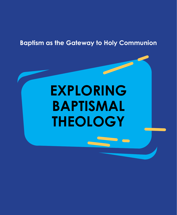# **Baptism as the Gateway to Holy Communion**

# **EXPLORING BAPTISMAL THEOLOGY**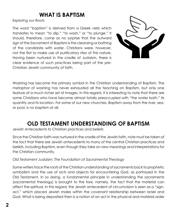## **WHAT IS BAPTISM**

#### *Exploring our Roots*

The word "baptism" is derived from a Greek verb which translates to mean "to dip," "to wash," or "to plunge." It should, therefore, come as no surprise that the outward sign of the Sacrament of Baptism is the cleansing or bathing of the candidate with water. Christians were, however, not the first to make use of purificatory rites of this nature. Having been nurtured in the cradle of Judaism, there is clear evidence of such practices being part of the pre-Christian Jewish community of faith.



Washing has become the primary symbol in the Christian understanding of Baptism. The metaphor of washing has never exhausted all the teaching on Baptism, but only one feature of a much richer set of images. In this regard, it is interesting to note that there are some Christians who have become almost totally preoccupied with "the water bath," its quantity and its location. For some of our new churches, Baptism away from the river, sea, or pool, is no baptism at all.

# **OLD TESTAMENT UNDERSTANDING OF BAPTISM**

*Jewish Antecedents to Christian practices and beliefs*

Since the Christian faith was nurtured in the cradle of the Jewish faith, note must be taken of the fact that there are Jewish antecedents to many of the central Christian practices and beliefs, including Baptism, even though they take on new meanings and interpretations for the Christian community.

#### *Old Testament Judaism: The Foundation of Sacramental Theology*

Some writers trace the roots of the Christian understanding of sacraments back to prophetic symbolism and the use of acts and objects for encountering God, as portrayed in the Old Testament. In so doing, a fundamental principle in understanding the sacraments (sacramental theology) is brought to the fore, namely, the fact that the material can affect the spiritual. In this regard, the Jewish antecedent of circumcision is seen as a "signact," which placed Jewish males within the covenant relationship between Israel and God. What is being deposited then is a notion of an act in the physical and material order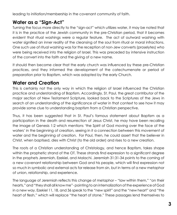leading to initiation/membership in the covenant community of faith.

### **Water as a "Sign-Act"**

Turning the focus more directly to the "sign-act" which utilizes water, it may be noted that it is in the practice of the Jewish community in the pre-Christian period, that it becomes evident that ritual washings were a regular feature. The act of outward washing with water signified an inner reality of the cleansing of the soul from ritual or moral infractions. One such use of ritual washing was for the reception of non-Jew converts (proselytes) who were being received into the religion of Israel. This was preceded by intensive instruction of the convert into the faith and the giving of a new name.

It should then become clear that the early church was influenced by these pre-Christian practices, and they informed the development of the catechumenate or period of preparation prior to Baptism, which was adopted by the early Church.

### **Water and Creation**

This is certainly not the only way in which the religion of Israel influenced the Christian practice and understanding of Baptism. Accordingly, St. Paul, the great contributor of the major section of New Testament Scripture, looked back to the Scriptures of the Jews in search of an understanding of the significance of water in that context to see how it may provide some clue to understanding baptism from a Christian perspective.

Thus, it has been suggested that in St. Paul's famous statement about Baptism as a participation in the death and resurrection of Jesus Christ, he may have been recalling the image of Genesis 1:2 which mentions 'the Spirit of God moving over the face of the waters' in the beginning of creation, seeing in it a connection between this movement of water and the beginning of creation. For Paul, then, he could assert that the believer in Christ, when baptised, dies with Christ (to the old order) and rises to a new creation.

The roots of a Christian understanding of Christology, and hence Baptism, takes shape within the prophetic strand of the OT. These strands find expression to a significant degree in the prophets Jeremiah, Ezekiel, and Malachi. Jeremiah 31:31-34 points to the coming of a new covenant relationship between God and his people, which will find expression not so much in symbolic and external acts for release from sin, but in terms of a new metaphor of union, relationship, and experience.

The language of Jeremiah reflects this change of metaphor – "law within them," "on their hearts," and "they shall all know me"- pointing to an internalization of the experience of God in a new way. Ezekiel 11, 18, and 36 speak to the "new spirit" and the "new heart" and "the heart of flesh," which will replace "the heart of stone." These passages lend themselves to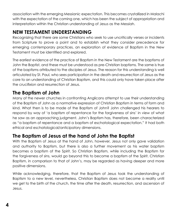association with the emerging Messianic expectation. This becomes crystallized in Malachi with the expectation of the coming one, which has been the subject of appropriation and interpretation within the Christian understanding of Jesus as the Messiah.

### **NEW TESTAMENT UNDERSTANDING**

Recognizing that there are some Christians who seek to use uncritically verses or incidents from Scripture to prove a point and to establish what they consider precedence for emerging contemporary practices, an exploration of evidence of Baptism in the New Testament must be identified and explored.

The earliest evidence of the practice of Baptism in the New Testament are the baptisms of John the Baptist, and these must be understood as pre-Christian baptisms. The same is true of the baptisms attributed to the disciples of Jesus. The reason for this understanding is well articulated by St. Paul, who sees participation in the death and resurrection of Jesus as the core to an understanding of Christian Baptism, and this could only have taken place after the crucifixion and resurrection of Jesus.

#### **The Baptism of John**

Many of the newer churches in confronting Anglicans attempt to use their understanding of the Baptism of John as a normative expression of Christian Baptism in terms of form and kind. What then is to be made of the Baptism of John? John challenged his hearers to respond by way of 'a baptism of repentance for the forgiveness of sins' in view of what he saw as an approaching judgment. John's Baptism has, therefore, been characterized as "a baptism of repentance and a baptism of eschatological expectation." It had both ethical and eschatological/anticipatory dimensions.

#### **The Baptism of Jesus at the hand of John the Baptist**

With the Baptism of Jesus at the hand of John, however, Jesus not only gave validation and authority to Baptism, but there is also a further movement as his water baptism becomes a baptism of the Spirit. So Christian Baptism, while including the Baptism for the forgiveness of sins, would go beyond this to become a baptism of the Spirit. Christian Baptism, in comparison to that of John's, may be regarded as having deeper and more positive dimensions.

While acknowledging, therefore, that the Baptism of Jesus took the understanding of Baptism to a new level, nevertheless, Christian Baptism does not become a reality until we get to the birth of the church, the time after the death, resurrection, and ascension of Jesus.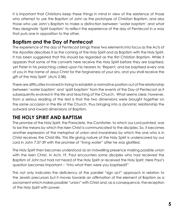It is important that Christians keep these things in mind in view of the existence of those who attempt to use the Baptism of John as the prototype of Christian Baptism, and also those who use John's Baptism to make a distinction between 'water baptism' and what they designate 'Spirit baptism' to reflect the experience of the day of Pentecost in a way that puts one in opposition to the other.

#### **Baptism and the Day of Pentecost**

The experience of the day of Pentecost brings these two elements into focus as the Acts of the Apostles describes it as the coming of the Holy Spirit and as Baptism with the Holy Spirit. It has been suggested that this should be regarded as the first Christian Baptism. While it appears that some of the converts here receive the Holy Spirit before they are baptised, yet Peter in his preaching called upon his hearers to 'Repent, and be baptised every one of you in the name of Jesus Christ for the forgiveness of your sins, and you shall receive the gift of the Holy Spirit' (Acts 2:38).

There are difficulties involved in trying to establish a normative position out of the relationship between 'water baptism' and 'spirit baptism' from the events of the Day of Pentecost as it subsequently evolved in the life and teaching of the Church. What seems clear, however, from a serious reading of the text is that the two dimensions were brought together on the same occasion in the life of the Church, thus bringing into a dynamic relationship the outward and inward dimensions of Baptism.

### **THE HOLY SPIRIT AND BAPTISM**

The promise of the Holy Spirit, the Paraclete, the Comforter, to which our Lord pointed, was to be the means by which the risen Christ is communicated to the disciples. So, it becomes another expression of the metaphor of union and inwardness by which the one who is in Christ receives the Christ-life. This life-giving nature of the Holy Spirit is underscored by our Lord in John 7:37-39 with the promise of "living water" after he was glorified.

The Holy Spirit then becomes understood as an indwelling presence making possible union with the risen Christ. In Acts 19, Paul encounters some disciples who had received the Baptism of John but had not heard of the Holy Spirit or received the Holy Spirit. Here Paul's question becomes important – "Into what then were you baptised?"

This not only indicates the deficiency of the parallel "sign act" approach in relation to the Jewish precursors but it moves towards an affirmation of the element of Baptism as a sacrament which makes possible "union" with Christ and, as a consequence, the reception of the Holy Spirit with power.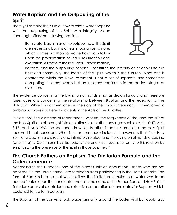#### **Water Baptism and the Outpouring of the Spirit**

There yet remains the issue of how to relate water baptism with the outpouring of the Spirit with integrity. Aidan Kavanagh offers the following position:

> Both water baptism and the outpouring of the Spirit are necessary, but it is of less importance to note, which comes first than to realize how both follow upon the proclamation of Jesus' resurrection and exaltation. All three of these events – proclamation,



Baptism, and the outpouring of Spirit – constitute the integrity of initiation into the believing community, the locale of the Spirit, which is the Church. What one is confronted within the New Testament is not a set of separate and sometimes competing initiatory events but an initiatory continuum in the earliest stages of evolution.

The evidence concerning the laying on of hands is not as straightforward and therefore raises questions concerning the relationship between Baptism and the reception of the Holy Spirit. While it is not mentioned in the story of the Ethiopian eunuch, it is mentioned in ambiguous ways in different incidents in the Acts of the Apostles.

In Acts 2:38, the elements of repentance, Baptism, the forgiveness of sins, and the gift of the Holy Spirit are all brought into a relationship. In other passages such as Acts 10:47, Acts 8:17, and Acts 19:6, the sequence in which Baptism is administered and the Holy Spirit received is not consistent. What is clear from these incidents, however, is that "the Holy Spirit and baptism are directly and intimately related, and the laying on of hands or sealing (anointing) (2 Corinthians 1:22; Ephesians 1:13 and 4:30), seems to testify to this relation by emphasizing the presence of the Spirit in those baptised."

#### **The Church Fathers on Baptism: The Trinitarian Formula and the Catechumenate**

According to the Didache (one of the oldest Christian documents), those who are not baptised "in the Lord's name" are forbidden from participating in the Holy Eucharist. The form of Baptism is to be that which utilizes the Trinitarian formula; thus, water was to be poured "thrice upon the candidate's head in the name of the Father, Son, and Holy Spirit." Tertullian speaks of a detailed and extensive preparation of candidates for Baptism, which could last for up to three years.

The Baptism of the converts took place primarily around the Easter Vigil but could also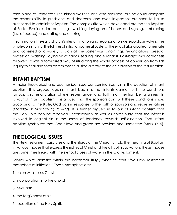take place at Pentecost. The Bishop was the one who presided, but he could delegate the responsibility to presbyters and deacons, and even laypersons are seen to be so authorized to administer Baptism. The complex rite which developed around the Baptism of Easter Eve included anointings, washing, laying on of hands and signing, embracing (kiss of peace), and eating and drinking.

In summation, the early church's rites of initiation and reconciliation were public, involving the whole community. The full rites of initiation came at Easter at the end of a long catechumenate and consisted of a variety of acts at the Easter vigil: anointings, renunciations, creedal profession, washing, laying on of hands, sealing, and eucharist. Post-baptismal catechesis followed. It was a formalized way of ritualizing the whole process of conversion from first inquiry to final and total commitment, all tied directly to the celebration of the resurrection.

#### **INFANT BAPTISM**

A major theological and ecumenical issue concerning Baptism is the question of infant baptism. It is argued, against infant baptism, that infants cannot fulfill the conditions for Baptism: renunciation of evil, repentance, and faith, not mention being sinners. In favour of infant baptism, it is argued that the sponsors can fulfill these conditions since, according to the Bible, God acts in response to the faith of sponsors and representatives (Matt8:5-13; Mark2:3-12; 9:14-29). It is further argued in favour of infant baptism that the Holy Spirit can be received unconsciously as well as consciously, that the infant is involved in original sin in the sense of tendency towards self-assertion. That infant baptism symbolizes that God's love and grace are previent and unmerited (Mark10:15).

#### **THEOLOGICAL ISSUES**

The New Testament scriptures and the liturgy of the Church unfold the meaning of Baptism in various images that express the riches of Christ and the gifts of his salvation. These images are sometimes linked with the symbolic uses of water in the Old Testament.

James White identifies within the baptismal liturgy what he calls "five New Testament metaphors of initiation." These metaphors are:

- 1. union with Jesus Christ
- 2. incorporation into the church
- 3. new birth
- 4. the forgiveness of sin
- 5. reception of the Holy Spirit.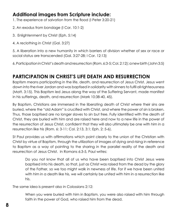#### **Additional images from Scripture include:**

1. The experience of salvation from the flood (I Peter 3:20-21)

- 2. An exodus from bondage (I Cor. 10:1-2)
- 3. Enlightenment by Christ (Eph. 5:14)
- 4. A reclothing in Christ (Gal. 3:27)

5. A liberation into a new humanity in which barriers of division whether of sex or race or social status are transcended (Gal. 3:27-28; I Cor. 12:13)

6. Participation in Christ's death and resurrection (Rom. 6:3-5; Col. 2:12); a new birth (John 3:5)

## **PARTICIPATION IN CHRIST'S LIFE DEATH AND RESURRECTION**

Baptism means participating in the life, death, and resurrection of Jesus Christ. Jesus went down into the river Jordan and was baptised in solidarity with sinners to fulfil all righteousness (Matt. 3:15). This Baptism led Jesus along the way of the Suffering Servant, made manifest in his sufferings, death, and resurrection (Mark 10:38-40, 45).

By Baptism, Christians are immersed in the liberating death of Christ where their sins are buried, where the "old Adam" is crucified with Christ, and where the power of sin is broken. Thus, those baptised are no longer slaves to sin but free. Fully identified with the death of Christ, they are buried with him and are raised here and now to a new life in the power of the resurrection of Jesus Christ, confident that they will also ultimately be one with him in a resurrection like his (Rom. 6: 3-11; Col. 2:13, 3:1; Eph. 2: 5-6).

St Paul provides us with affirmations which point clearly to the union of the Christian with Christ by virtue of Baptism, through the utilization of images of dying and rising in reference to Baptism as a way of pointing to the sharing in the parallel reality of the death and resurrection of Jesus Christ. In Romans 6:3-5, Paul writes:

Do you not know that all of us who have been baptised into Christ Jesus were baptised into his death, so that, just as Christ was raised from the dead by the glory of the Father, so we too might walk in newness of life. For if we have been united with him in a death like his, we will certainly be united with him in a resurrection like his.

The same idea is present also in Colossians 2:12:

When you were buried with him in Baptism, you were also raised with him through faith in the power of God, who raised him from the dead.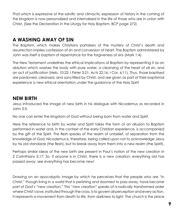That which is expressive of the salvific and climactic expression of history in the coming of the kingdom is now personalized and internalized in the life of those who are in union with Christ. (See the Declaration in the Liturgy for Holy Baptism, BCP page 272)

#### **A WASHING AWAY OF SIN**

The Baptism, which makes Christians partakers of the mystery of Christ's death and resurrection implies confession of sin and conversion of heart. The Baptism administered by John was itself a baptism of repentance for the forgiveness of sins (Mark 1:4).

The New Testament underlines the ethical implications of Baptism by representing it as an ablution which washes the body with pure water, a cleansing of the heart of all sin, and an act of justification (Heb. 10:22; I Peter 3:21; Acts 22:16; I Cor. 6:11). Thus, those baptised are pardoned, cleansed, and sanctified by Christ, and are given as part of their baptismal experience a new ethical orientation under the guidance of the Holy Spirit

#### **NEW BIRTH**

Jesus introduced the image of new birth in his dialogue with Nicodemus as recorded in John 3:5:

No one can enter the kingdom of God without being born from water and Spirit.

Here the reference to birth by water and Spirit takes the form of an allusion to Baptism performed in water and, in the context of the early Christian experience, is accompanied by the gift of the Spirit. The flesh speaks of the realm of unbelief, of separation from the knowledge of God. Nicodemus is, therefore, being called upon not to acknowledge Jesus by his old standards (the flesh), but to break away from them into a new realm (the Spirit).

Perhaps similar ideas of the new birth are present in Paul's notion of the new creation in 2 Corinthians 5:17: So, if anyone is in Christ, there is a new creation: everything old has passed away; see everything has become new!

Drawing on an apocalyptic image by which he perceives that the people who are "in Christ," though living in a world that is perishing and doomed to pass away, have become part of God's "new creation." This "new creation" speaks of a radically transformed order where Christ's love, instituted through the cross, is to govern all perception and every action. It represents a movement from death to life, from darkness to light. The church is the place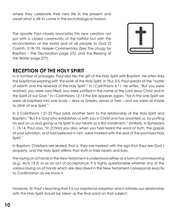where they celebrate their new life in the present and await what is still to come in the eschatological horizon.

The apostle Paul closely associates this new creation not just with a closed community of the faithful but with the reconciliation of the world and of all people to God (2 Corinth. 5:18-19). Harper Commentary (See The Liturgy for Baptism – The Declaration page 272, and the Blessing of the Water page 277).



#### **RECEPTION OF THE HOLY SPIRIT**

In a number of passages, Paul also ties the gift of the Holy Spirit with Baptism. He often links the baptismal washing with the work of the Holy Spirit. In Titus 3:5, Paul speaks of the "water of rebirth and the renewal of the Holy Spirit." In I Corinthians 6:11, he writes, "But you were washed, you were sanctified, you were justified in the name of the Lord Jesus Christ and in the Spirit of our God." In I Corinthians 12:13 the link appears again, "for in the one Spirit we were all baptised into one body – Jews or Greeks, slaves or free – and we were all made to drink of one Spirit."

In 2 Corinthians 1:21-22 Paul adds another term to the relationship of the Holy Spirit and Baptism: "But it is God who establishes us with you in Christ and has anointed us, by putting his seal on us and giving us his Spirit in our hearts as a first installment." Similarly, in Ephesians 1: 13-14, Paul says, "In (Christ) you also, when you had heard the word of truth, the gospel of your salvation, and had believed in him, were marked with the seal of the promised Holy Spirit."

In Baptism, Christians are sealed, that is, they are marked with the sign that they are God's property, and the Holy Spirit affirms that truth in their hearts and lives.

The laying on of hands in the New Testament is understood either as a form of commissioning (e.g., Acts 13:2) or as an act of acceptance. It is highly questionable whether any of the various laying on of hands which are described in the New Testament corresponds exactly to Confirmation as we know it.

However, St. Paul's teaching that it is our baptismal adoption which initiates our relationship with the Holy Spirit should be taken as the final word on that subject.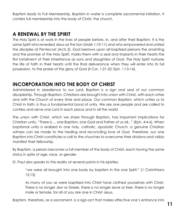Baptism leads to Full Membership. Baptism in water is complete sacramental initiation. It confers full membership into the body of Christ, the church.

### **A RENEWAL BY THE SPIRIT**

The Holy Spirit is at work in the lives of people before, in, and after their Baptism. It is the same Spirit who revealed Jesus as the Son (Mark 1:10-11) and who empowered and united the disciples at Pentecost (Acts 2). God bestows upon all baptised persons the anointing and the promise of the Holy Spirit, marks them with a seal and implants in their hearts the first instalment of their inheritance as sons and daughters of God. The Holy Spirit nurtures the life of faith in their hearts until the final deliverance when they will enter into its full possession, to the praise of the glory of God (II Cor. 1:21-22; Eph. 1:13-14).

#### **INCORPORATION INTO THE BODY OF CHRIST**

Administered in obedience to our Lord, Baptism is a sign and seal of our common discipleship. Through Baptism, Christians are brought into union with Christ, with each other and with the Church of every time and place. Our common Baptism, which unites us to Christ in faith, is thus a fundamental bond of unity. We are one people and are called to confess and serve one Lord in each place and in all the world.

The union with Christ, which we share through Baptism, has important implications for Christian unity. "There is ... one Baptism, one God and Father of us all..." (Eph. 4:4-6). When baptismal unity is realized in one holy, catholic, apostolic Church, a genuine Christian witness can be made to the healing and reconciling love of God. Therefore, our one Baptism into Christ constitutes a call to the churches to overcome their divisions and visibly manifest their fellowship.

By Baptism, a person becomes a full member of the body of Christ, each having the same status in spite of age, race, or gender.

St. Paul also speaks to this reality at several points in his epistles.

"we were all brought into one body by baptism in the one Spirit." (1 Corinthians 12:13)

As many of you as were baptised into Christ have clothed yourselves with Christ. There is no longer Jew or Greek, there is no longer slave or free, there is no longer male or female, for all of you are one in Christ Jesus.

Baptism, therefore, as a sacrament, is a sign-act that makes effective one's entrance into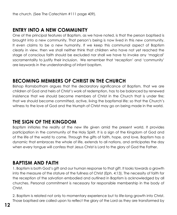#### **ENTRY INTO A NEW COMMUNITY**

One of the principal features of Baptism, as we have noted, is that the person baptised is brought into a new community. That person's being is now lived in this new community. It even claims to be a new humanity. If we keep this communal aspect of Baptism clearly in view, then we shall neither think that children who have not yet reached the stage of conscious faith should be excluded nor shall we have to invoke any 'magical' sacramentality to justify their inclusion. We remember that 'reception' and 'community' are keywords in the understanding of infant baptism.

#### **BECOMING MEMBERS OF CHRIST IN THE CHURCH**

Bishop Ramsbotham argues that the declaratory significance of Baptism, that we are children of God and heirs of Christ's work of redemption, has to be balanced by renewed insistence that we should become members of Christ in the Church that is under fire; that we should become committed, active, living the baptismal life; so that the Church's witness to the love of God and the triumph of Christ may go on being made in the world.

#### **THE SIGN OF THE KINGDOM**

Baptism initiates the reality of the new life given amid the present world. It provides participation in the community of the Holy Spirit. It is a sign of the Kingdom of God and of the life of the world to come. Through the gifts of faith, hope, and love, Baptism has a dynamic that embraces the whole of life, extends to all nations, and anticipates the day when every tongue will confess that Jesus Christ is Lord to the glory of God the Father.

### **BAPTISM AND FAITH**

1. Baptism is both God's gift and our human response to that gift. It looks towards a growth into the measure of the stature of the fullness of Christ (Eph. 4:13). The necessity of faith for the reception of the salvation embodied and outlined in Baptism is acknowledged by all churches. Personal commitment is necessary for responsible membership in the body of Christ.

2. Baptism is related not only to momentary experience but to life-long growth into Christ. Those baptised are called upon to reflect the glory of the Lord as they are transformed by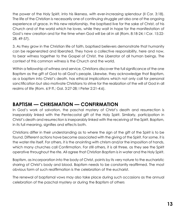the power of the Holy Spirit, into his likeness, with ever-increasing splendour (II Cor. 3:18). The life of the Christian is necessarily one of continuing struggle yet also one of the ongoing experience of grace. In this new relationship, the baptised live for the sake of Christ, of his Church and of the world which he loves, while they wait in hope for the manifestation of God's new creation and for the time when God will be all in all (Rom. 8:18-24; I Cor. 15:22- 28, 49-57).

3. As they grow in the Christian life of faith, baptised believers demonstrate that humanity can be regenerated and liberated. They have a collective responsibility, here and now, to bear witness together to the Gospel of Christ, the Liberator of all human beings. The context of this common witness is the Church and the world.

Within a fellowship of witness and service, Christians discover the full significance of the one Baptism as the gift of God to all God's people. Likewise, they acknowledge that Baptism, as a baptism into Christ's death, has ethical implications which not only call for personal sanctification but also motivate Christians to strive for the realization of the will of God in all realms of life (Rom. 6:9 ff.; Gal. 3:27-28; I Peter 2:21-4:6).

#### **BAPTISM — CHRISMATION — CONFIRMATION**

In God's work of salvation, the paschal mystery of Christ's death and resurrection is inseparably linked with the Pentecostal gift of the Holy Spirit. Similarly, participation in Christ's death and resurrection is inseparably linked with the receiving of the Spirit. Baptism, in its full meaning, signifies and effects both.

Christians differ in their understanding as to where the sign of the gift of the Spirit is to be found. Different actions have become associated with the giving of the Spirit. For some, it is the water rite itself. For others, it is the anointing with chrism and/or the imposition of hands, which many churches call Confirmation. For still others, it is all three, as they see the Spirit operative throughout the rite. All agree that Christian Baptism is in water and the Holy Spirit.

Baptism, as incorporation into the body of Christ, points by its very nature to the eucharistic sharing of Christ's body and blood. Baptism needs to be constantly reaffirmed. The most obvious form of such reaffirmation is the celebration of the eucharist.

The renewal of baptismal vows may also take place during such occasions as the annual celebration of the paschal mystery or during the Baptism of others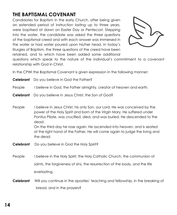### **THE BAPTISMAL COVENANT**

Candidates for Baptism in the early Church, after being given an extended period of instruction lasting up to three years, were baptised at dawn on Easter Day or Pentecost. Stepping into the water, the candidate was asked the three questions of the baptismal creed and with each answer was immersed in the water or had water poured upon his/her head. In today's liturgies of Baptism, the three questions of the creed have been retained, and to which have been added some additional



questions which speak to the nature of the individual's commitment to a covenant relationship with God in Christ.

In the CPWI the Baptismal Covenant is given expression in the following manner:

|                  | <b>Celebrant</b> Do you believe in God the Father?                                                                                                                                                                                                                                                                                                                                                               |
|------------------|------------------------------------------------------------------------------------------------------------------------------------------------------------------------------------------------------------------------------------------------------------------------------------------------------------------------------------------------------------------------------------------------------------------|
| People           | I believe in God, the Father almighty, creator of heaven and earth.                                                                                                                                                                                                                                                                                                                                              |
|                  | <b>Celebrant</b> Do you believe in Jesus Christ, the Son of God?                                                                                                                                                                                                                                                                                                                                                 |
| People           | I believe in Jesus Christ, his only Son, our Lord. He was conceived by the<br>power of the Holy Spirit and born of the Virgin Mary. He suffered under<br>Pontius Pilate, was crucified, died, and was buried. He descended to the<br>dead.<br>On the third day he rose again. He ascended into heaven, and is seated<br>at the right hand of the Father. He will come again to judge the living and<br>the dead. |
| <b>Celebrant</b> | Do you believe in God the Holy Spirit?                                                                                                                                                                                                                                                                                                                                                                           |
| People           | I believe in the Holy Spirit, the Holy Catholic Church, the communion of<br>saints, the forgiveness of sins, the resurrection of the body, and the life<br>everlasting.                                                                                                                                                                                                                                          |
| Celebrant        | Will you continue in the apostles' teaching and fellowship, in the breaking of<br>bread, and in the prayers?                                                                                                                                                                                                                                                                                                     |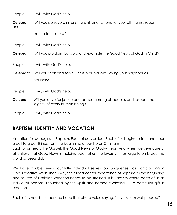| People           | I will, with God's help.                                                                                 |
|------------------|----------------------------------------------------------------------------------------------------------|
| Celebrant<br>and | Will you persevere in resisting evil, and, whenever you fall into sin, repent                            |
|                  | return to the Lord?                                                                                      |
| People           | I will, with God's help.                                                                                 |
| Celebrant        | Will you proclaim by word and example the Good News of God in Christ?                                    |
| People           | I will, with God's help.                                                                                 |
| Celebrant        | Will you seek and serve Christ in all persons, loving your neighbor as<br>yourself?                      |
| People           | I will, with God's help.                                                                                 |
| Celebrant        | Will you strive for justice and peace among all people, and respect the<br>dignity of every human being? |
| People           | I will, with God's help.                                                                                 |

#### **BAPTISM: IDENTITY AND VOCATION**

Vocation for us begins in Baptism. Each of us is called. Each of us begins to feel and hear a call to great things from the beginning of our life as Christians.

Each of us hears the Gospel, the Good News of God-with-us. And when we give careful attention, that Good News is molding each of us into lovers with an urge to embrace the world as Jesus did.

We have trouble seeing our little individual selves, our uniqueness, as participating in God's creative work. That is why the fundamental importance of Baptism as the beginning and source of Christian vocation needs to be stressed. It is Baptism where each of us as individual persons is touched by the Spirit and named "Beloved" — a particular gift in creation.

Each of us needs to hear and heed that divine voice saying, "In you, I am well pleased" —